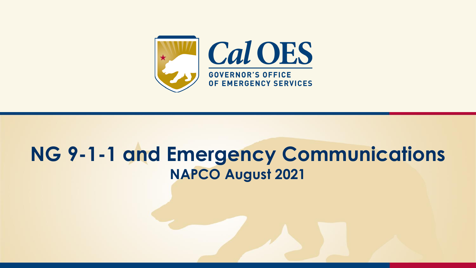

#### **NG 9-1-1 and Emergency Communications NAPCO August 2021**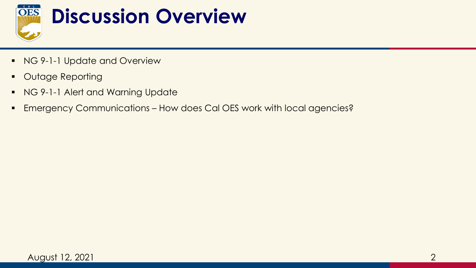

- NG 9-1-1 Update and Overview
- Outage Reporting
- NG 9-1-1 Alert and Warning Update
- **Emergency Communications How does Cal OES work with local agencies?**

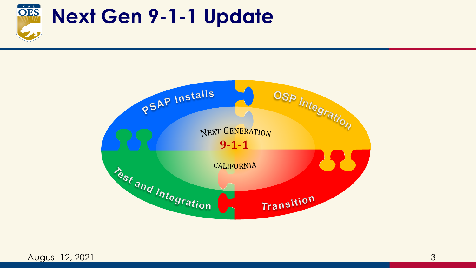

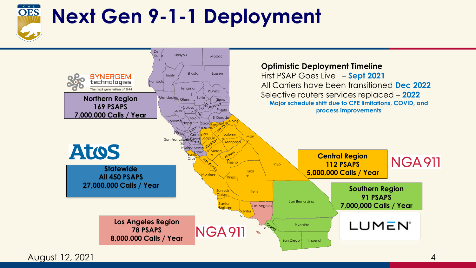

### **Next Gen 9-1-1 Deployment**



August 12, 2021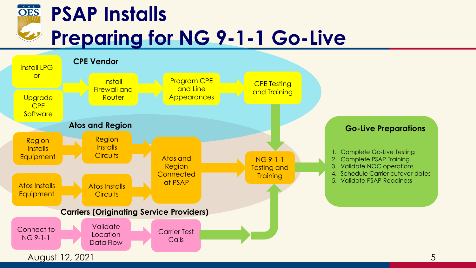

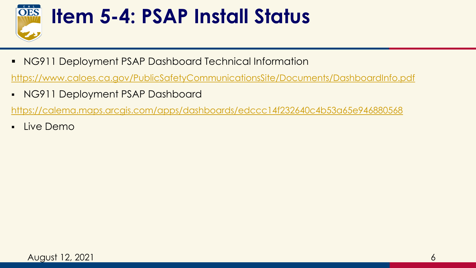

#### **Item 5-4: PSAP Install Status**

■ NG911 Deployment PSAP Dashboard Technical Information

<https://www.caloes.ca.gov/PublicSafetyCommunicationsSite/Documents/DashboardInfo.pdf>

▪ NG911 Deployment PSAP Dashboard

<https://calema.maps.arcgis.com/apps/dashboards/edccc14f232640c4b53a65e946880568>

▪ Live Demo

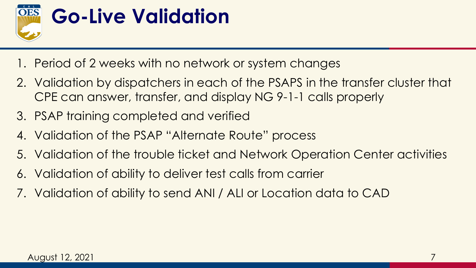

- 1. Period of 2 weeks with no network or system changes
- 2. Validation by dispatchers in each of the PSAPS in the transfer cluster that CPE can answer, transfer, and display NG 9-1-1 calls properly
- 3. PSAP training completed and verified
- 4. Validation of the PSAP "Alternate Route" process
- 5. Validation of the trouble ticket and Network Operation Center activities
- 6. Validation of ability to deliver test calls from carrier
- 7. Validation of ability to send ANI / ALI or Location data to CAD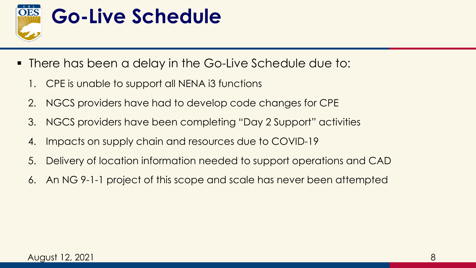

- There has been a delay in the Go-Live Schedule due to:
	- 1. CPE is unable to support all NENA i3 functions
	- 2. NGCS providers have had to develop code changes for CPE
	- 3. NGCS providers have been completing "Day 2 Support" activities
	- 4. Impacts on supply chain and resources due to COVID-19
	- 5. Delivery of location information needed to support operations and CAD
	- 6. An NG 9-1-1 project of this scope and scale has never been attempted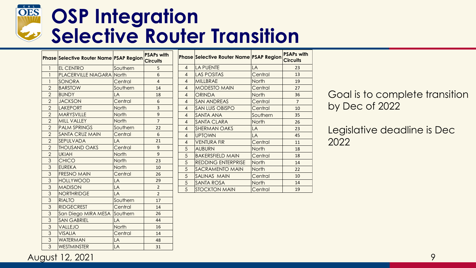#### OES **OSP Integration Selective Router Transition**

|                | Phase Selective Router Name PSAP Region |          | <b>PSAPs with</b><br><b>Circuits</b> |
|----------------|-----------------------------------------|----------|--------------------------------------|
| 1              | EL CENTRO                               | Southern | 5                                    |
| $\mathbf{1}$   | <b>PLACERVILLE NIAGARA North</b>        |          | 6                                    |
| 1              | SONORA                                  | Central  | $\overline{4}$                       |
| $\overline{2}$ | <b>BARSTOW</b>                          | Southern | 14                                   |
| $\overline{2}$ | <b>BUNDY</b>                            | LA       | 18                                   |
| $\overline{2}$ | <b>JACKSON</b>                          | Central  | 6                                    |
| $\overline{2}$ | <b>LAKEPORT</b>                         | North    | 3                                    |
| $\overline{2}$ | MARYSVILLE                              | North    | 9                                    |
| $\overline{2}$ | <b>MILL VALLEY</b>                      | North    | $\overline{7}$                       |
| $\overline{2}$ | <b>PALM SPRINGS</b>                     | Southern | 22                                   |
| $\overline{2}$ | <b>SANTA CRUZ MAIN</b>                  | Central  | 6                                    |
| $\overline{2}$ | SEPULVADA                               | LA       | 21                                   |
| $\overline{2}$ | <b>THOUSAND OAKS</b>                    | Central  | 9                                    |
| $\overline{2}$ | <b>UKIAH</b>                            | North    | 9                                    |
| 3              | <b>CHICO</b>                            | North    | 23                                   |
| 3              | <b>EUREKA</b>                           | North    | 10                                   |
| 3              | <b>FRESNO MAIN</b>                      | Central  | 26                                   |
| 3              | <b>HOLLYWOOD</b>                        | LA       | 29                                   |
| 3              | <b>MADISON</b>                          | LA       | $\overline{2}$                       |
| 3              | <b>NORTHRIDGE</b>                       | LA       | $\overline{2}$                       |
| 3              | <b>RIALTO</b>                           | Southern | 17                                   |
| 3              | <b>RIDGECREST</b>                       | Central  | 14                                   |
| 3              | San Diego MIRA MESA                     | Southern | 26                                   |
| 3              | <b>SAN GABRIEL</b>                      | LA       | 44                                   |
| 3              | VALLEJO                                 | North    | 16                                   |
| 3              | <b>VISALIA</b>                          | Central  | 14                                   |
| 3              | <b>WATERMAN</b>                         | LA       | 48                                   |
| 3              | <b>WESTMINSTER</b>                      | LA       | 31                                   |

|                | <b>Phase Selective Router Name PSAP Region</b> |              | <b>PSAPs with</b><br><b>Circuits</b> |
|----------------|------------------------------------------------|--------------|--------------------------------------|
| $\overline{4}$ | <b>LA PUENTE</b>                               | LA           | 23                                   |
| $\overline{4}$ | <b>LAS POSITAS</b>                             | Central      | 13                                   |
| $\overline{4}$ | <b>MILLBRAE</b>                                | North        | 19                                   |
| $\overline{4}$ | <b>MODESTO MAIN</b>                            | Central      | 27                                   |
| $\overline{4}$ | <b>ORINDA</b>                                  | <b>North</b> | 36                                   |
| 4              | <b>SAN ANDREAS</b>                             | Central      | $\overline{7}$                       |
| $\overline{4}$ | <b>SAN LUIS OBISPO</b>                         | Central      | 10                                   |
| $\overline{4}$ | SANTA ANA                                      | Southern     | 35                                   |
| $\overline{4}$ | <b>SANTA CLARA</b>                             | <b>North</b> | 26                                   |
| $\overline{4}$ | <b>SHERMAN OAKS</b>                            | LA           | 23                                   |
| $\overline{4}$ | <b>UPTOWN</b>                                  | LA           | 45                                   |
| $\overline{4}$ | <b>VENTURA FIR</b>                             | Central      | 11                                   |
| 5              | <b>AUBURN</b>                                  | <b>North</b> | 18                                   |
| 5              | <b>BAKERSFIELD MAIN</b>                        | Central      | 18                                   |
| 5              | <b>REDDING ENTERPRISE</b>                      | <b>North</b> | 14                                   |
| 5              | SACRAMENTO MAIN                                | North        | 22                                   |
| 5              | SALINAS MAIN                                   | Central      | 10                                   |
| 5              | SANTA ROSA                                     | North        | 14                                   |
| 5              | <b>STOCKTON MAIN</b>                           | Central      | 19                                   |

Goal is to complete transition by Dec of 2022

Legislative deadline is Dec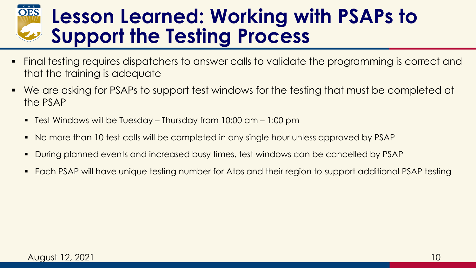#### **OES Lesson Learned: Working with PSAPs to Support the Testing Process**

- Final testing requires dispatchers to answer calls to validate the programming is correct and that the training is adequate
- We are asking for PSAPs to support test windows for the testing that must be completed at the PSAP
	- Test Windows will be Tuesday Thursday from  $10:00$  am  $1:00$  pm
	- No more than 10 test calls will be completed in any single hour unless approved by PSAP
	- During planned events and increased busy times, test windows can be cancelled by PSAP
	- Each PSAP will have unique testing number for Atos and their region to support additional PSAP testing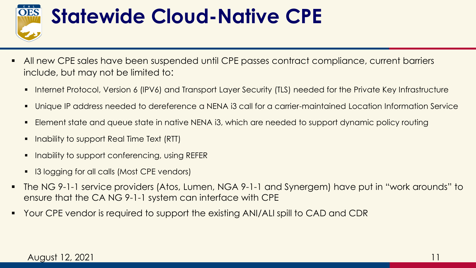

#### **Statewide Cloud-Native CPE**

- **EXTE All new CPE sales have been suspended until CPE passes contract compliance, current barriers** include, but may not be limited to:
	- Internet Protocol, Version 6 (IPV6) and Transport Layer Security (TLS) needed for the Private Key Infrastructure
	- Unique IP address needed to dereference a NENA i3 call for a carrier-maintained Location Information Service
	- Element state and queue state in native NENA i3, which are needed to support dynamic policy routing
	- Inability to support Real Time Text (RTT)
	- Inability to support conferencing, using REFER
	- 13 logging for all calls (Most CPE vendors)
- The NG 9-1-1 service providers (Atos, Lumen, NGA 9-1-1 and Synergem) have put in "work arounds" to ensure that the CA NG 9-1-1 system can interface with CPE
- Your CPE vendor is required to support the existing ANI/ALI spill to CAD and CDR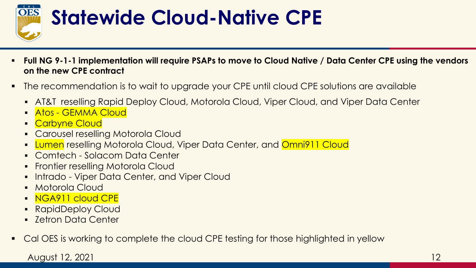

### **Statewide Cloud-Native CPE**

- **Full NG 9-1-1 implementation will require PSAPs to move to Cloud Native / Data Center CPE using the vendors on the new CPE contract**
- The recommendation is to wait to upgrade your CPE until cloud CPE solutions are available
	- **AT&T reselling Rapid Deploy Cloud, Motorola Cloud, Viper Cloud, and Viper Data Center**
	- Atos GEMMA Cloud
	- **Carbyne Cloud**
	- Carousel reselling Motorola Cloud
	- **Lumen** reselling Motorola Cloud, Viper Data Center, and **Omni911 Cloud**
	- Comtech Solacom Data Center
	- **Frontier reselling Motorola Cloud**
	- **.** Intrado Viper Data Center, and Viper Cloud
	- **Motorola Cloud**
	- **NGA911 cloud CPE**
	- RapidDeploy Cloud
	- Zetron Data Center
- Cal OES is working to complete the cloud CPE testing for those highlighted in yellow

August 12, 2021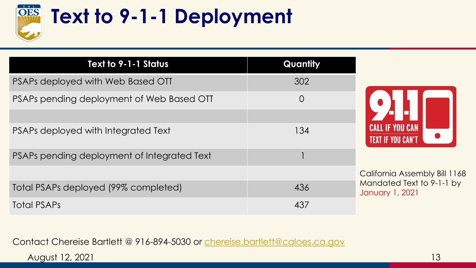

## **Text to 9-1-1 Deployment**

| Text to 9-1-1 Status                        | Quantity       |                                                    |  |
|---------------------------------------------|----------------|----------------------------------------------------|--|
| PSAPs deployed with Web Based OTT           | 302            |                                                    |  |
| PSAPs pending deployment of Web Based OTT   | $\overline{O}$ |                                                    |  |
| PSAPs deployed with Integrated Text         | 134            | <b>CALL IF YOU CAN</b><br><b>TEXT IF YOU CAN'T</b> |  |
| PSAPs pending deployment of Integrated Text |                |                                                    |  |
|                                             |                | <b>California Assembly Bill</b>                    |  |
| Total PSAPs deployed (99% completed)        | 436            | <b>Mandated Text to 9-1-1</b><br>January 1, 2021   |  |
| <b>Total PSAPs</b>                          | 437            |                                                    |  |

Contact Chereise Bartlett @ 916-894-5030 or [chereise.bartlett@caloes.ca.gov](mailto:Chereise.Bartlett@caloes.ca.gov)

August 12, 2021

1168

by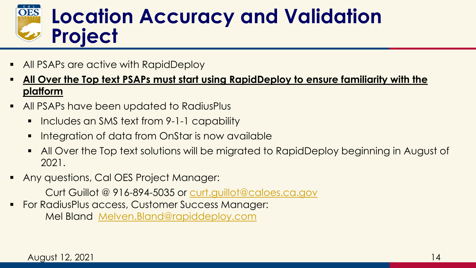

- All PSAPs are active with RapidDeploy
- **<u>All Over the Top text PSAPs must start using RapidDeploy to ensure familiarity with the </u> platform**
- **E** All PSAPs have been updated to RadiusPlus
	- Includes an SMS text from 9-1-1 capability
	- **E** Integration of data from OnStar is now available
	- All Over the Top text solutions will be migrated to RapidDeploy beginning in August of 2021.
- Any questions, Cal OES Project Manager:

Curt Guillot @ 916-894-5035 or [curt.guillot@caloes.ca.gov](mailto:curt.guillot@caloes.ca.gov)

**• For RadiusPlus access, Customer Success Manager:** Mel Bland [Melven.Bland@rapiddeploy.com](mailto:Melven.Bland@rapiddeploy.com)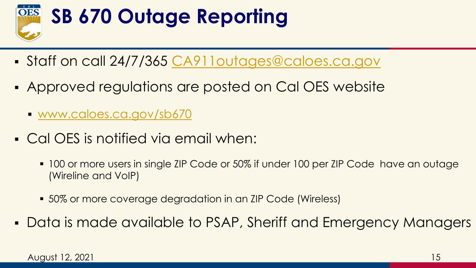

- Staff on call 24/7/365 [CA911outages@caloes.ca.gov](mailto:CA911outages@caloes.ca.gov)
- Approved regulations are posted on Cal OES website
	- [www.caloes.ca.gov/sb670](http://www.caloes.ca.gov/sb670)
- Cal OES is notified via email when:
	- 100 or more users in single ZIP Code or 50% if under 100 per ZIP Code have an outage (Wireline and VoIP)
	- **. 50% or more coverage degradation in an ZIP Code (Wireless)**
- Data is made available to PSAP, Sheriff and Emergency Managers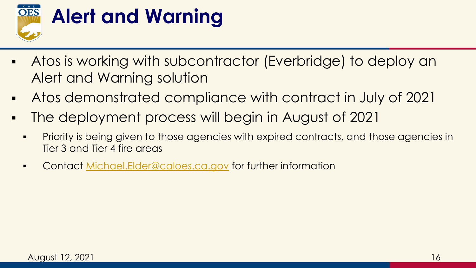

### **Alert and Warning**

- Atos is working with subcontractor (Everbridge) to deploy an Alert and Warning solution
- Atos demonstrated compliance with contract in July of 2021
- The deployment process will begin in August of 2021
	- **•** Priority is being given to those agencies with expired contracts, and those agencies in Tier 3 and Tier 4 fire areas
	- Contact [Michael.Elder@caloes.ca.gov](mailto:Michael.Elder@caloes.ca.gov) for further information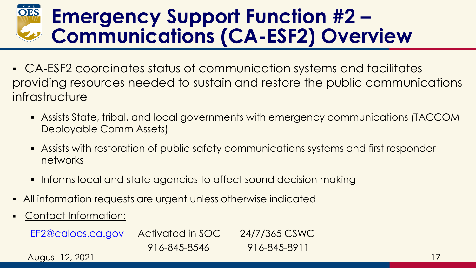#### **Emergency Support Function #2 – Communications (CA-ESF2) Overview**

- CA-ESF2 coordinates status of communication systems and facilitates providing resources needed to sustain and restore the public communications infrastructure
	- Assists State, tribal, and local governments with emergency communications (TACCOM Deployable Comm Assets)
	- **EXEL Assists with restoration of public safety communications systems and first responder** networks
	- **.** Informs local and state agencies to affect sound decision making
- All information requests are urgent unless otherwise indicated
- Contact Information:

EF2@caloes.ca.gov Activated in SOC 24/7/365 CSWC

916-845-8546 916-845-8911

August 12, 2021 17